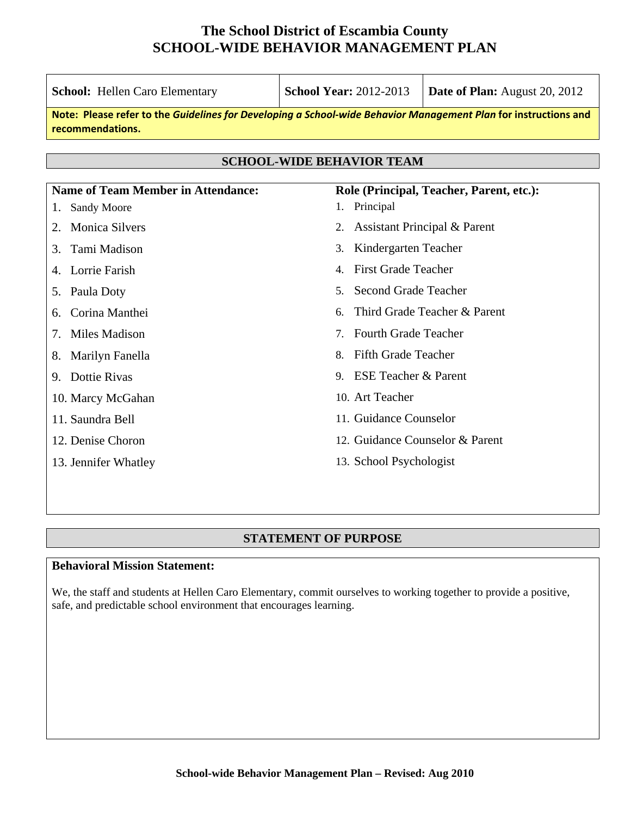| <b>School:</b> Hellen Caro Elementary                                                                                               | <b>School Year: 2012-2013</b>                                            | Date of Plan: August 20, 2012            |  |  |
|-------------------------------------------------------------------------------------------------------------------------------------|--------------------------------------------------------------------------|------------------------------------------|--|--|
| Note: Please refer to the Guidelines for Developing a School-wide Behavior Management Plan for instructions and<br>recommendations. |                                                                          |                                          |  |  |
| <b>SCHOOL-WIDE BEHAVIOR TEAM</b>                                                                                                    |                                                                          |                                          |  |  |
|                                                                                                                                     |                                                                          |                                          |  |  |
| <b>Name of Team Member in Attendance:</b>                                                                                           |                                                                          | Role (Principal, Teacher, Parent, etc.): |  |  |
| <b>Sandy Moore</b><br>1.                                                                                                            | Principal<br>1.                                                          |                                          |  |  |
| <b>Monica Silvers</b><br>2.                                                                                                         | 2.                                                                       | Assistant Principal & Parent             |  |  |
| Tami Madison<br>3.                                                                                                                  | Kindergarten Teacher<br>3.                                               |                                          |  |  |
| Lorrie Farish<br>4.                                                                                                                 | <b>First Grade Teacher</b><br>$\mathbf{4}$ .                             |                                          |  |  |
| Paula Doty<br>5.                                                                                                                    | <b>Second Grade Teacher</b><br>5 <sub>1</sub>                            |                                          |  |  |
| Corina Manthei<br>6.                                                                                                                | 6.                                                                       | Third Grade Teacher & Parent             |  |  |
| Miles Madison<br>7.                                                                                                                 | <b>Fourth Grade Teacher</b><br>$7_{\scriptscriptstyle{\ddot{\text{c}}}}$ |                                          |  |  |
| Marilyn Fanella<br>8.                                                                                                               | <b>Fifth Grade Teacher</b><br>8.                                         |                                          |  |  |
| 9. Dottie Rivas                                                                                                                     | <b>ESE Teacher &amp; Parent</b><br>9.                                    |                                          |  |  |
| 10. Marcy McGahan                                                                                                                   | 10. Art Teacher                                                          |                                          |  |  |
| 11. Saundra Bell                                                                                                                    | 11. Guidance Counselor                                                   |                                          |  |  |
| 12. Denise Choron                                                                                                                   | 12. Guidance Counselor & Parent                                          |                                          |  |  |
| 13. Jennifer Whatley                                                                                                                | 13. School Psychologist                                                  |                                          |  |  |
|                                                                                                                                     |                                                                          |                                          |  |  |
|                                                                                                                                     |                                                                          |                                          |  |  |

## **STATEMENT OF PURPOSE**

#### **Behavioral Mission Statement:**

We, the staff and students at Hellen Caro Elementary, commit ourselves to working together to provide a positive, safe, and predictable school environment that encourages learning.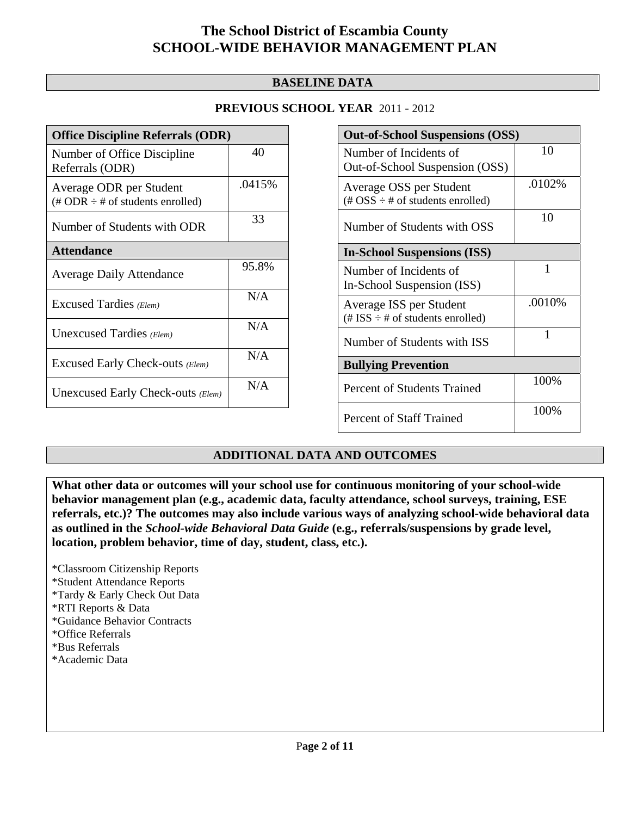## **BASELINE DATA**

## **PREVIOUS SCHOOL YEAR** 2011 - 2012

| <b>Office Discipline Referrals (ODR)</b>                                         |        |  |
|----------------------------------------------------------------------------------|--------|--|
| Number of Office Discipline<br>Referrals (ODR)                                   | 40     |  |
| Average ODR per Student<br>$(\text{\# ODR} \div \text{\# of students enrolled})$ | .0415% |  |
| Number of Students with ODR                                                      | 33     |  |
| <b>Attendance</b>                                                                |        |  |
| <b>Average Daily Attendance</b>                                                  | 95.8%  |  |
| <b>Excused Tardies</b> (Elem)                                                    | N/A    |  |
| Unexcused Tardies (Elem)                                                         | N/A    |  |
| Excused Early Check-outs (Elem)                                                  | N/A    |  |
| Unexcused Early Check-outs (Elem)                                                | N/A    |  |

| <b>Out-of-School Suspensions (OSS)</b>                                                          |        |  |  |
|-------------------------------------------------------------------------------------------------|--------|--|--|
| Number of Incidents of<br>Out-of-School Suspension (OSS)                                        | 10     |  |  |
| Average OSS per Student<br>$(\text{\#} \text{OSS} \div \text{\#} \text{ of students enrolled})$ | .0102% |  |  |
| Number of Students with OSS                                                                     | 10     |  |  |
| <b>In-School Suspensions (ISS)</b>                                                              |        |  |  |
| Number of Incidents of<br>In-School Suspension (ISS)                                            | 1      |  |  |
| Average ISS per Student<br>$(\text{\# ISS} \div \text{\# of students enrolled})$                | .0010% |  |  |
| Number of Students with ISS                                                                     | 1      |  |  |
| <b>Bullying Prevention</b>                                                                      |        |  |  |
| Percent of Students Trained                                                                     | 100%   |  |  |
| <b>Percent of Staff Trained</b>                                                                 | 100%   |  |  |

## **ADDITIONAL DATA AND OUTCOMES**

**What other data or outcomes will your school use for continuous monitoring of your school-wide behavior management plan (e.g., academic data, faculty attendance, school surveys, training, ESE referrals, etc.)? The outcomes may also include various ways of analyzing school-wide behavioral data as outlined in the** *School-wide Behavioral Data Guide* **(e.g., referrals/suspensions by grade level, location, problem behavior, time of day, student, class, etc.).**

\*Classroom Citizenship Reports \*Student Attendance Reports \*Tardy & Early Check Out Data \*RTI Reports & Data \*Guidance Behavior Contracts \*Office Referrals \*Bus Referrals \*Academic Data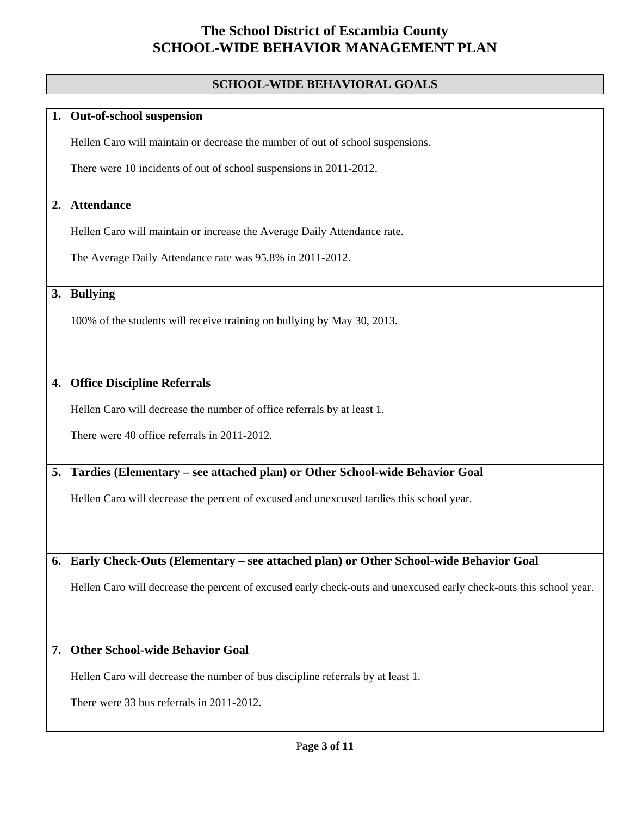### **SCHOOL-WIDE BEHAVIORAL GOALS**

#### **1. Out-of-school suspension**

Hellen Caro will maintain or decrease the number of out of school suspensions.

There were 10 incidents of out of school suspensions in 2011-2012.

### **2. Attendance**

Hellen Caro will maintain or increase the Average Daily Attendance rate.

The Average Daily Attendance rate was 95.8% in 2011-2012.

### **3. Bullying**

100% of the students will receive training on bullying by May 30, 2013.

### **4. Office Discipline Referrals**

Hellen Caro will decrease the number of office referrals by at least 1.

There were 40 office referrals in 2011-2012.

## **5. Tardies (Elementary – see attached plan) or Other School-wide Behavior Goal**

Hellen Caro will decrease the percent of excused and unexcused tardies this school year.

#### **6. Early Check-Outs (Elementary – see attached plan) or Other School-wide Behavior Goal**

Hellen Caro will decrease the percent of excused early check-outs and unexcused early check-outs this school year.

### **7. Other School-wide Behavior Goal**

Hellen Caro will decrease the number of bus discipline referrals by at least 1.

There were 33 bus referrals in 2011-2012.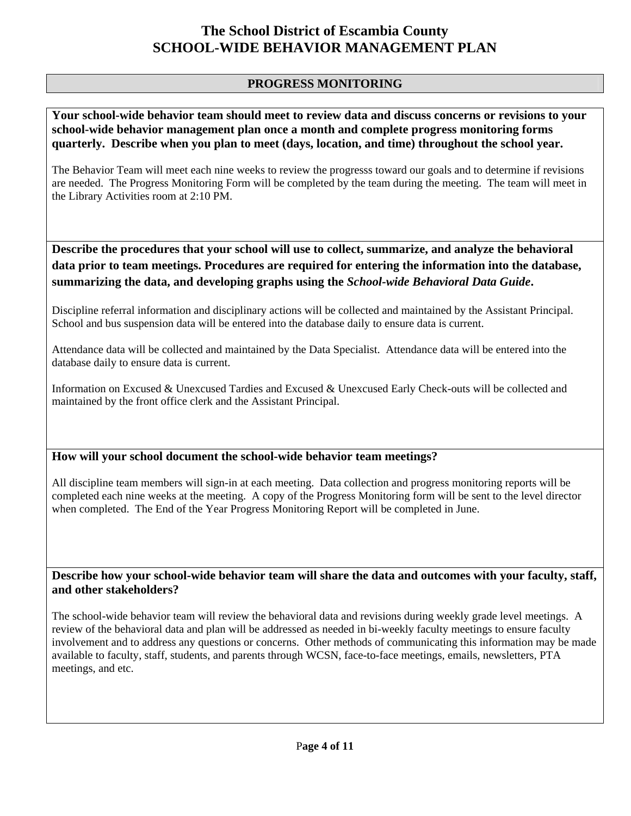## **PROGRESS MONITORING**

**Your school-wide behavior team should meet to review data and discuss concerns or revisions to your school-wide behavior management plan once a month and complete progress monitoring forms quarterly. Describe when you plan to meet (days, location, and time) throughout the school year.** 

The Behavior Team will meet each nine weeks to review the progresss toward our goals and to determine if revisions are needed. The Progress Monitoring Form will be completed by the team during the meeting. The team will meet in the Library Activities room at 2:10 PM.

**Describe the procedures that your school will use to collect, summarize, and analyze the behavioral data prior to team meetings. Procedures are required for entering the information into the database, summarizing the data, and developing graphs using the** *School-wide Behavioral Data Guide***.** 

Discipline referral information and disciplinary actions will be collected and maintained by the Assistant Principal. School and bus suspension data will be entered into the database daily to ensure data is current.

Attendance data will be collected and maintained by the Data Specialist. Attendance data will be entered into the database daily to ensure data is current.

Information on Excused & Unexcused Tardies and Excused & Unexcused Early Check-outs will be collected and maintained by the front office clerk and the Assistant Principal.

## **How will your school document the school-wide behavior team meetings?**

All discipline team members will sign-in at each meeting. Data collection and progress monitoring reports will be completed each nine weeks at the meeting. A copy of the Progress Monitoring form will be sent to the level director when completed. The End of the Year Progress Monitoring Report will be completed in June.

**Describe how your school-wide behavior team will share the data and outcomes with your faculty, staff, and other stakeholders?** 

The school-wide behavior team will review the behavioral data and revisions during weekly grade level meetings. A review of the behavioral data and plan will be addressed as needed in bi-weekly faculty meetings to ensure faculty involvement and to address any questions or concerns. Other methods of communicating this information may be made available to faculty, staff, students, and parents through WCSN, face-to-face meetings, emails, newsletters, PTA meetings, and etc.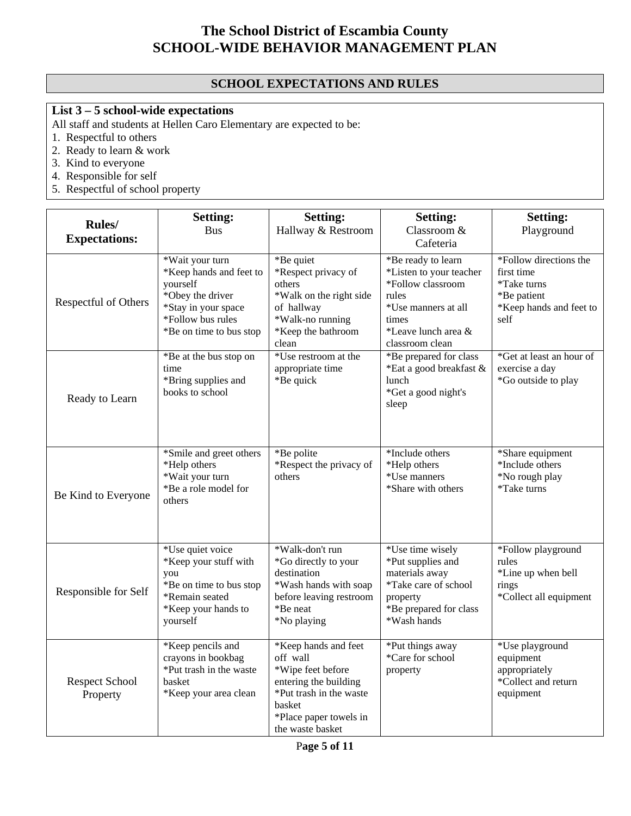# **SCHOOL EXPECTATIONS AND RULES**

# **List 3 – 5 school-wide expectations**

All staff and students at Hellen Caro Elementary are expected to be:

- 1. Respectful to others
- 2. Ready to learn & work
- 3. Kind to everyone
- 4. Responsible for self
- 5. Respectful of school property

|                                   | <b>Setting:</b>                                                                                                                                   | <b>Setting:</b>                                                                                                                                                   | <b>Setting:</b>                                                                                                                                       | <b>Setting:</b>                                                                                       |
|-----------------------------------|---------------------------------------------------------------------------------------------------------------------------------------------------|-------------------------------------------------------------------------------------------------------------------------------------------------------------------|-------------------------------------------------------------------------------------------------------------------------------------------------------|-------------------------------------------------------------------------------------------------------|
| Rules/<br><b>Expectations:</b>    | <b>Bus</b>                                                                                                                                        | Hallway & Restroom                                                                                                                                                | Classroom &<br>Cafeteria                                                                                                                              | Playground                                                                                            |
| Respectful of Others              | *Wait your turn<br>*Keep hands and feet to<br>yourself<br>*Obey the driver<br>*Stay in your space<br>*Follow bus rules<br>*Be on time to bus stop | *Be quiet<br>*Respect privacy of<br>others<br>*Walk on the right side<br>of hallway<br>*Walk-no running<br>*Keep the bathroom<br>clean                            | *Be ready to learn<br>*Listen to your teacher<br>*Follow classroom<br>rules<br>*Use manners at all<br>times<br>*Leave lunch area &<br>classroom clean | *Follow directions the<br>first time<br>*Take turns<br>*Be patient<br>*Keep hands and feet to<br>self |
| Ready to Learn                    | *Be at the bus stop on<br>time<br>*Bring supplies and<br>books to school                                                                          | *Use restroom at the<br>appropriate time<br>*Be quick                                                                                                             | *Be prepared for class<br>*Eat a good breakfast &<br>lunch<br>*Get a good night's<br>sleep                                                            | *Get at least an hour of<br>exercise a day<br>*Go outside to play                                     |
| Be Kind to Everyone               | *Smile and greet others<br>*Help others<br>*Wait your turn<br>*Be a role model for<br>others                                                      | *Be polite<br>*Respect the privacy of<br>others                                                                                                                   | *Include others<br>*Help others<br>*Use manners<br>*Share with others                                                                                 | *Share equipment<br>*Include others<br>*No rough play<br>*Take turns                                  |
| Responsible for Self              | *Use quiet voice<br>*Keep your stuff with<br>you<br>*Be on time to bus stop<br>*Remain seated<br>*Keep your hands to<br>yourself                  | *Walk-don't run<br>*Go directly to your<br>destination<br>*Wash hands with soap<br>before leaving restroom<br>*Be neat<br>*No playing                             | *Use time wisely<br>*Put supplies and<br>materials away<br>*Take care of school<br>property<br>*Be prepared for class<br>*Wash hands                  | *Follow playground<br>rules<br>*Line up when bell<br>rings<br>*Collect all equipment                  |
| <b>Respect School</b><br>Property | *Keep pencils and<br>crayons in bookbag<br>*Put trash in the waste<br>basket<br>*Keep your area clean                                             | *Keep hands and feet<br>off wall<br>*Wipe feet before<br>entering the building<br>*Put trash in the waste<br>basket<br>*Place paper towels in<br>the waste basket | *Put things away<br>*Care for school<br>property                                                                                                      | *Use playground<br>equipment<br>appropriately<br>*Collect and return<br>equipment                     |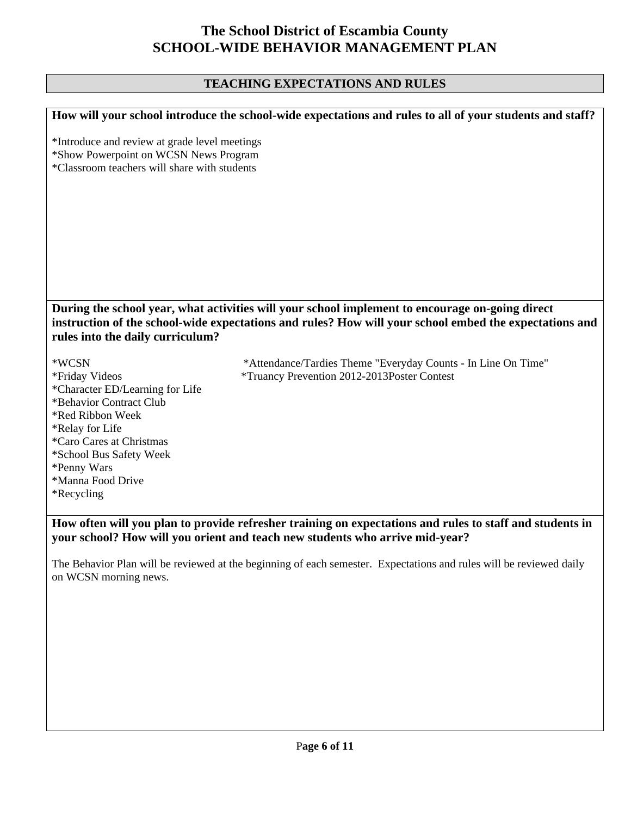# **TEACHING EXPECTATIONS AND RULES**

|                                                                                                                                                                                                                                               | How will your school introduce the school-wide expectations and rules to all of your students and staff?                                                                                 |  |  |  |
|-----------------------------------------------------------------------------------------------------------------------------------------------------------------------------------------------------------------------------------------------|------------------------------------------------------------------------------------------------------------------------------------------------------------------------------------------|--|--|--|
| *Introduce and review at grade level meetings<br>*Show Powerpoint on WCSN News Program<br>*Classroom teachers will share with students                                                                                                        |                                                                                                                                                                                          |  |  |  |
| During the school year, what activities will your school implement to encourage on-going direct<br>instruction of the school-wide expectations and rules? How will your school embed the expectations and<br>rules into the daily curriculum? |                                                                                                                                                                                          |  |  |  |
| *WCSN<br>*Friday Videos<br>*Character ED/Learning for Life<br>*Behavior Contract Club<br>*Red Ribbon Week<br>*Relay for Life<br>*Caro Cares at Christmas<br>*School Bus Safety Week<br>*Penny Wars<br>*Manna Food Drive<br><i>*</i> Recycling | *Attendance/Tardies Theme "Everyday Counts - In Line On Time"<br>*Truancy Prevention 2012-2013Poster Contest                                                                             |  |  |  |
|                                                                                                                                                                                                                                               | How often will you plan to provide refresher training on expectations and rules to staff and students in<br>your school? How will you orient and teach new students who arrive mid-year? |  |  |  |

The Behavior Plan will be reviewed at the beginning of each semester. Expectations and rules will be reviewed daily on WCSN morning news.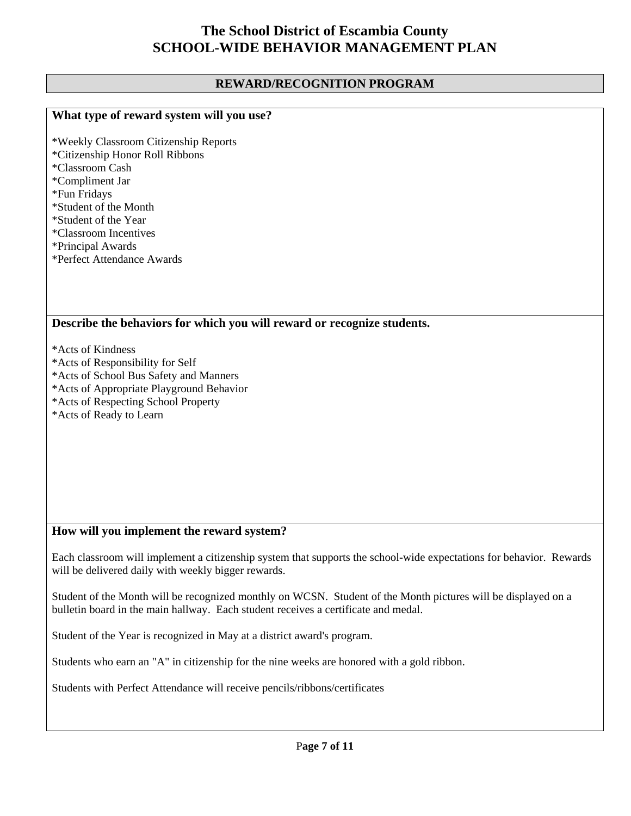### **REWARD/RECOGNITION PROGRAM**

## **What type of reward system will you use?**

\*Weekly Classroom Citizenship Reports \*Citizenship Honor Roll Ribbons \*Classroom Cash \*Compliment Jar \*Fun Fridays \*Student of the Month \*Student of the Year \*Classroom Incentives \*Principal Awards \*Perfect Attendance Awards

#### **Describe the behaviors for which you will reward or recognize students.**

\*Acts of Kindness

- \*Acts of Responsibility for Self
- \*Acts of School Bus Safety and Manners
- \*Acts of Appropriate Playground Behavior
- \*Acts of Respecting School Property
- \*Acts of Ready to Learn

## **How will you implement the reward system?**

Each classroom will implement a citizenship system that supports the school-wide expectations for behavior. Rewards will be delivered daily with weekly bigger rewards.

Student of the Month will be recognized monthly on WCSN. Student of the Month pictures will be displayed on a bulletin board in the main hallway. Each student receives a certificate and medal.

Student of the Year is recognized in May at a district award's program.

Students who earn an "A" in citizenship for the nine weeks are honored with a gold ribbon.

Students with Perfect Attendance will receive pencils/ribbons/certificates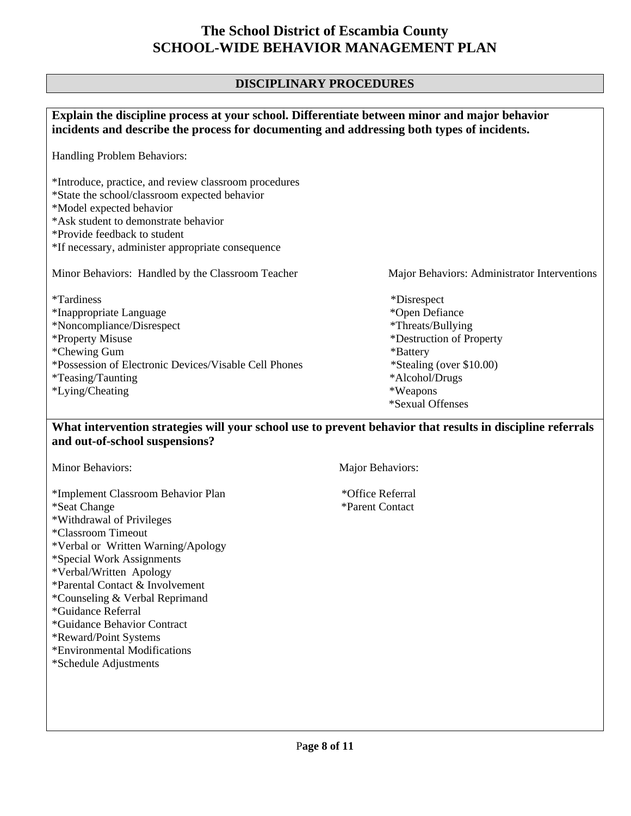### **DISCIPLINARY PROCEDURES**

| Explain the discipline process at your school. Differentiate between minor and major behavior<br>incidents and describe the process for documenting and addressing both types of incidents.                                                                     |                                                                                                                                                                          |  |
|-----------------------------------------------------------------------------------------------------------------------------------------------------------------------------------------------------------------------------------------------------------------|--------------------------------------------------------------------------------------------------------------------------------------------------------------------------|--|
| Handling Problem Behaviors:                                                                                                                                                                                                                                     |                                                                                                                                                                          |  |
| *Introduce, practice, and review classroom procedures<br>*State the school/classroom expected behavior<br>*Model expected behavior<br>*Ask student to demonstrate behavior<br>*Provide feedback to student<br>*If necessary, administer appropriate consequence |                                                                                                                                                                          |  |
| Minor Behaviors: Handled by the Classroom Teacher                                                                                                                                                                                                               | Major Behaviors: Administrator Interventions                                                                                                                             |  |
| <i>*Tardiness</i><br>*Inappropriate Language<br>*Noncompliance/Disrespect<br>*Property Misuse<br>*Chewing Gum<br>*Possession of Electronic Devices/Visable Cell Phones<br><i>*Teasing</i> /Taunting<br>*Lying/Cheating                                          | *Disrespect<br>*Open Defiance<br>*Threats/Bullying<br>*Destruction of Property<br>*Battery<br>*Stealing (over \$10.00)<br>*Alcohol/Drugs<br>*Weapons<br>*Sexual Offenses |  |

### **What intervention strategies will your school use to prevent behavior that results in discipline referrals and out-of-school suspensions?**

\*Implement Classroom Behavior Plan \*Office Referral \*Seat Change \*Parent Contact \*Withdrawal of Privileges \*Classroom Timeout \*Verbal or Written Warning/Apology \*Special Work Assignments \*Verbal/Written Apology \*Parental Contact & Involvement \*Counseling & Verbal Reprimand \*Guidance Referral \*Guidance Behavior Contract \*Reward/Point Systems \*Environmental Modifications

\*Schedule Adjustments

Minor Behaviors: Major Behaviors: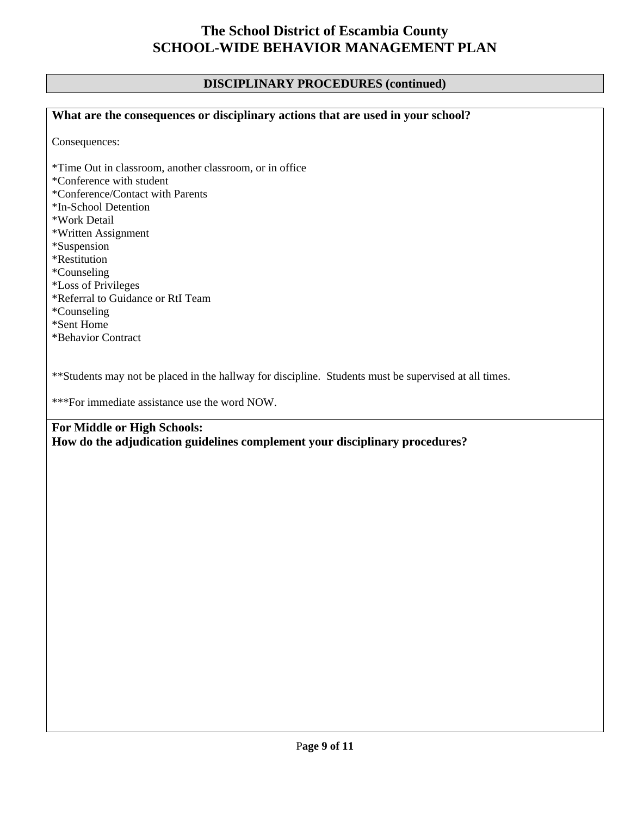### **DISCIPLINARY PROCEDURES (continued)**

# **What are the consequences or disciplinary actions that are used in your school?**

Consequences:

\*Time Out in classroom, another classroom, or in office \*Conference with student \*Conference/Contact with Parents \*In-School Detention \*Work Detail \*Written Assignment \*Suspension \*Restitution \*Counseling \*Loss of Privileges \*Referral to Guidance or RtI Team \*Counseling \*Sent Home \*Behavior Contract

\*\*Students may not be placed in the hallway for discipline. Students must be supervised at all times.

\*\*\*For immediate assistance use the word NOW.

## **For Middle or High Schools: How do the adjudication guidelines complement your disciplinary procedures?**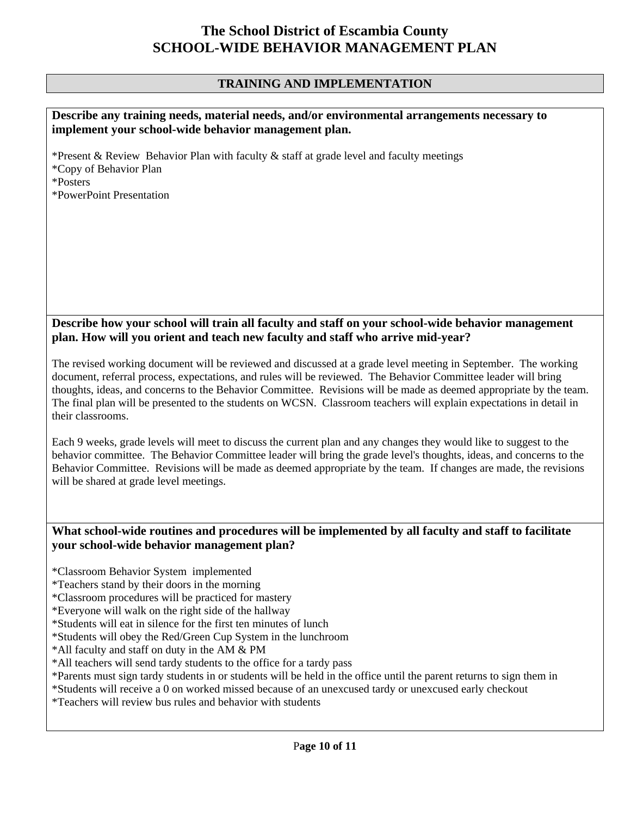### **TRAINING AND IMPLEMENTATION**

#### **Describe any training needs, material needs, and/or environmental arrangements necessary to implement your school-wide behavior management plan.**

\*Present & Review Behavior Plan with faculty & staff at grade level and faculty meetings \*Copy of Behavior Plan \*Posters \*PowerPoint Presentation

### **Describe how your school will train all faculty and staff on your school-wide behavior management plan. How will you orient and teach new faculty and staff who arrive mid-year?**

The revised working document will be reviewed and discussed at a grade level meeting in September. The working document, referral process, expectations, and rules will be reviewed. The Behavior Committee leader will bring thoughts, ideas, and concerns to the Behavior Committee. Revisions will be made as deemed appropriate by the team. The final plan will be presented to the students on WCSN. Classroom teachers will explain expectations in detail in their classrooms.

Each 9 weeks, grade levels will meet to discuss the current plan and any changes they would like to suggest to the behavior committee. The Behavior Committee leader will bring the grade level's thoughts, ideas, and concerns to the Behavior Committee. Revisions will be made as deemed appropriate by the team. If changes are made, the revisions will be shared at grade level meetings.

### **What school-wide routines and procedures will be implemented by all faculty and staff to facilitate your school-wide behavior management plan?**

\*Classroom Behavior System implemented

- \*Teachers stand by their doors in the morning
- \*Classroom procedures will be practiced for mastery
- \*Everyone will walk on the right side of the hallway
- \*Students will eat in silence for the first ten minutes of lunch
- \*Students will obey the Red/Green Cup System in the lunchroom
- \*All faculty and staff on duty in the AM & PM
- \*All teachers will send tardy students to the office for a tardy pass
- \*Parents must sign tardy students in or students will be held in the office until the parent returns to sign them in

\*Students will receive a 0 on worked missed because of an unexcused tardy or unexcused early checkout

\*Teachers will review bus rules and behavior with students